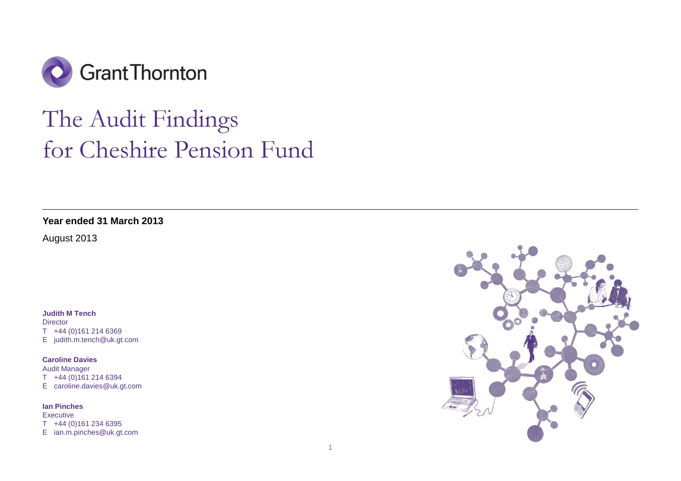

# The Audit Findings for Cheshire Pension Fund

**Year ended 31 March 2013** 

August 2013

**Judith M Tench Director** 

T +44 (0)161 214 6369 E judith.m.tench@uk.gt.com

**Caroline Davies** 

Audit Manager T +44 (0)161 214 6394 E caroline.davies@uk.gt.com

**Ian Pinches Executive** T +44 (0)161 234 6395 E ian.m.pinches@uk.gt.com

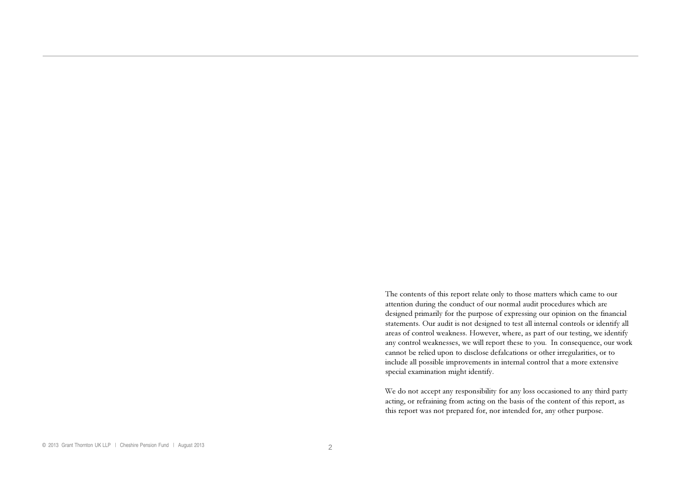The contents of this repor<sup>t</sup> relate only to those matters which came to our attention during the conduct of our normal audit procedures which are designed primarily for the purpose of expressing our opinion on the financial statements. Our audit is not designed to test all internal controls or identify all areas of control weakness. However, where, as par<sup>t</sup> of our testing, we identify any control weaknesses, we will repor<sup>t</sup> these to you. In consequence, our work cannot be relied upon to disclose defalcations or other irregularities, or to include all possible improvements in internal control that a more extensive special examination might identify.

We do not accep<sup>t</sup> any responsibility for any loss occasioned to any third party acting, or refraining from acting on the basis of the content of this report, as this repor<sup>t</sup> was not prepared for, nor intended for, any other purpose.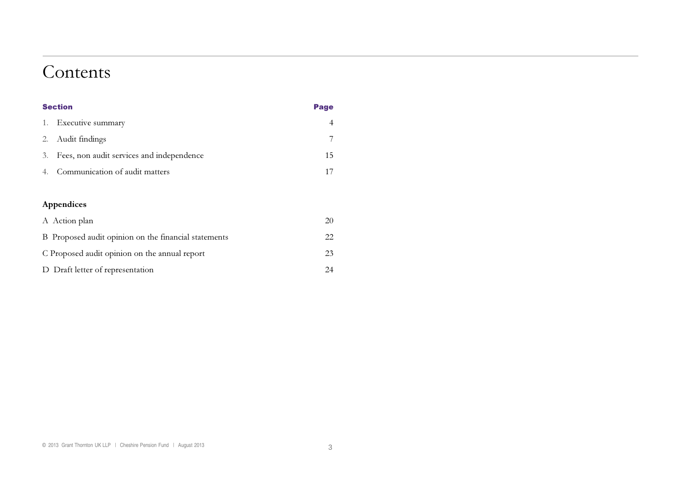### Contents

| <b>Section</b> |                                           | Page |
|----------------|-------------------------------------------|------|
| 1.             | Executive summary                         |      |
| 2.             | Audit findings                            |      |
| 3.             | Fees, non audit services and independence | 15   |
| 4.             | Communication of audit matters            | 17   |
|                |                                           |      |

### Appendices

| A Action plan                                        | 20 |
|------------------------------------------------------|----|
| B Proposed audit opinion on the financial statements | 22 |
| C Proposed audit opinion on the annual report        | 23 |
| D Draft letter of representation                     | 24 |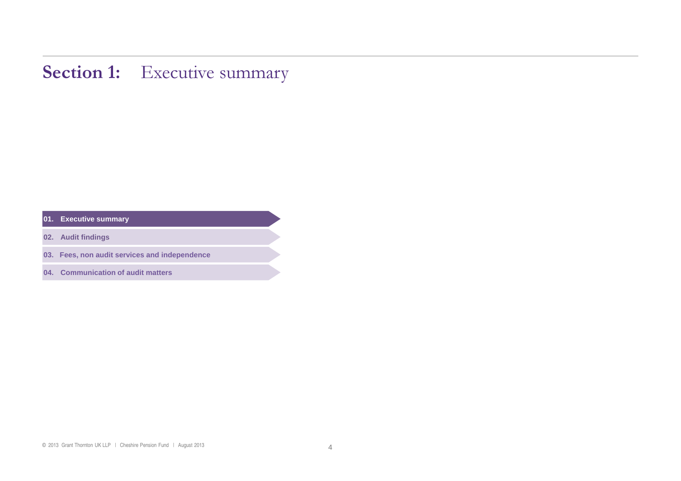### **Section 1:** Executive summary

**01. Executive summary** 

**02. Audit findings** 

**03. Fees, non audit services and independence** 

**04. Communication of audit matters**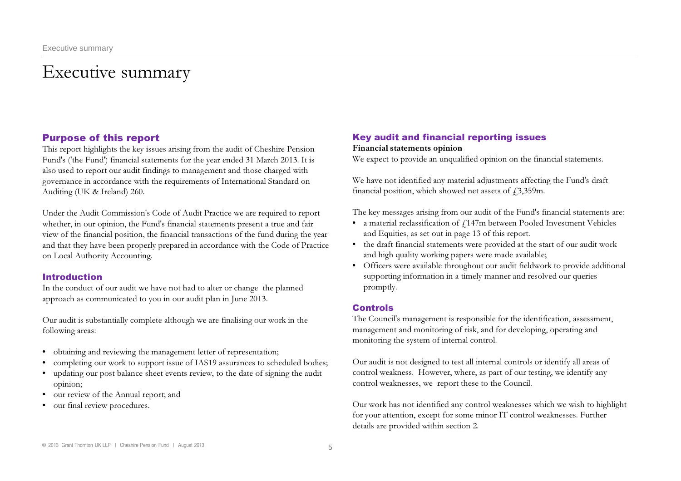## Executive summary

### Purpose of this report

This report highlights the key issues arising from the audit of Cheshire Pension Fund's ('the Fund') financial statements for the year ended 31 March 2013. It is also used to report our audit findings to management and those charged with governance in accordance with the requirements of International Standard on Auditing (UK & Ireland) 260.

Under the Audit Commission's Code of Audit Practice we are required to report whether, in our opinion, the Fund's financial statements present a true and fair view of the financial position, the financial transactions of the fund during the year and that they have been properly prepared in accordance with the Code of Practice on Local Authority Accounting.

### Introduction

In the conduct of our audit we have not had to alter or change the planned approach as communicated to you in our audit plan in June 2013.

Our audit is substantially complete although we are finalising our work in the following areas:

- • obtaining and reviewing the management letter of representation;
- completing our work to support issue of IAS19 assurances to scheduled bodies;
- updating our post balance sheet events review, to the date of signing the audit opinion;
- our review of the Annual report; and
- our final review procedures.

### Key audit and financial reporting issues

### Financial statements opinion

We expect to provide an unqualified opinion on the financial statements.

We have not identified any material adjustments affecting the Fund's draft financial position, which showed net assets of  $\text{\textsterling}3,359\text{m}$ .

The key messages arising from our audit of the Fund's financial statements are:

- a material reclassification of  $f_{\rm L}$ 147m between Pooled Investment Vehicles and Equities, as set out in page <sup>13</sup> of this report.
- • the draft financial statements were provided at the start of our audit work and high quality working papers were made available;
- • Officers were available throughout our audit fieldwork to provide additional supporting information in a timely manner and resolved our queries promptly.

### Controls

The Council's management is responsible for the identification, assessment, management and monitoring of risk, and for developing, operating and monitoring the system of internal control.

Our audit is not designed to test all internal controls or identify all areas of control weakness. However, where, as part of our testing, we identify any control weaknesses, we report these to the Council.

Our work has not identified any control weaknesses which we wish to highlight for your attention, except for some minor IT control weaknesses. Further details are provided within section 2.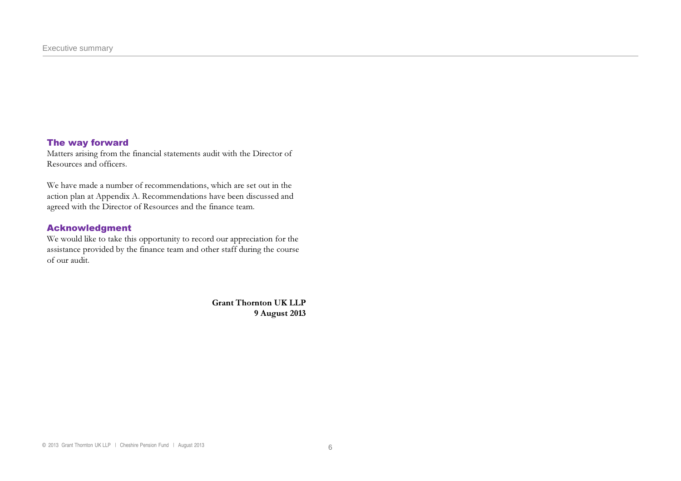### The way forward

Matters arising from the financial statements audit with the Director of Resources and officers.

We have made a number of recommendations, which are set out in the action plan at Appendix A. Recommendations have been discussed and agreed with the Director of Resources and the finance team.

### Acknowledgment

We would like to take this opportunity to record our appreciation for the assistance provided by the finance team and other staff during the course of our audit.

> Grant Thornton UK LLP9 August 2013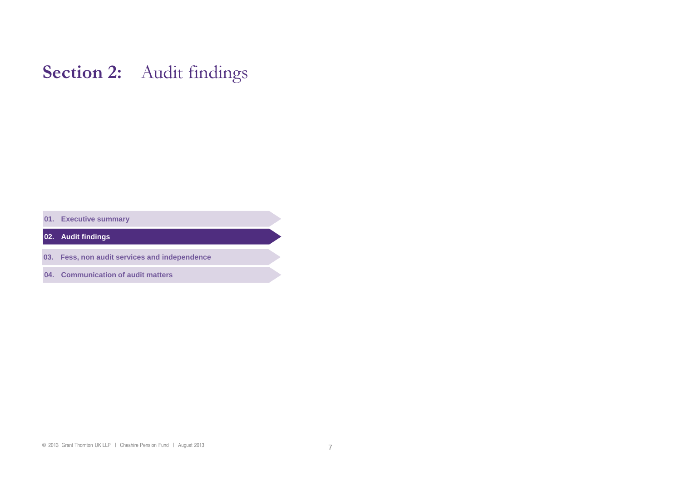### Section 2: Audit findings

**01. Executive summary** 

**02. Audit findings** 

**03. Fess, non audit services and independence** 

**04. Communication of audit matters**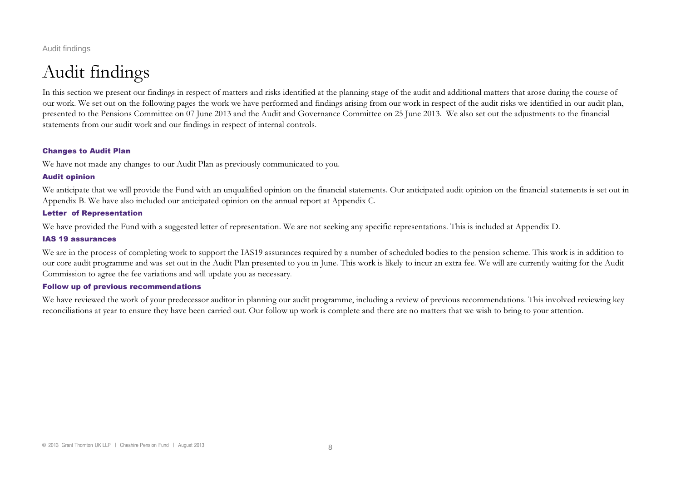Audit findings

## Audit findings

In this section we present our findings in respect of matters and risks identified at the planning stage of the audit and additional matters that arose during the course of our work. We set out on the following pages the work we have performed and findings arising from our work in respect of the audit risks we identified in our audit plan, presented to the Pensions Committee on 07 June 2013 and the Audit and Governance Committee on 25 June 2013. We also set out the adjustments to the financial statements from our audit work and our findings in respect of internal controls.

### Changes to Audit Plan

We have not made any changes to our Audit Plan as previously communicated to you.

### Audit opinion

We anticipate that we will provide the Fund with an unqualified opinion on the financial statements. Our anticipated audit opinion on the financial statements is set out in Appendix B. We have also included our anticipated opinion on the annual report at Appendix C.

### Letter of Representation

We have provided the Fund with a suggested letter of representation. We are not seeking any specific representations. This is included at Appendix D.

### IAS 19 assurances

We are in the process of completing work to support the IAS19 assurances required by a number of scheduled bodies to the pension scheme. This work is in addition to our core audit programme and was set out in the Audit Plan presented to you in June. This work is likely to incur an extra fee. We will are currently waiting for the Audit Commission to agree the fee variations and will update you as necessary.

### Follow up of previous recommendations

We have reviewed the work of your predecessor auditor in planning our audit programme, including <sup>a</sup> review of previous recommendations. This involved reviewing key reconciliations at year to ensure they have been carried out. Our follow up work is complete and there are no matters that we wish to bring to your attention.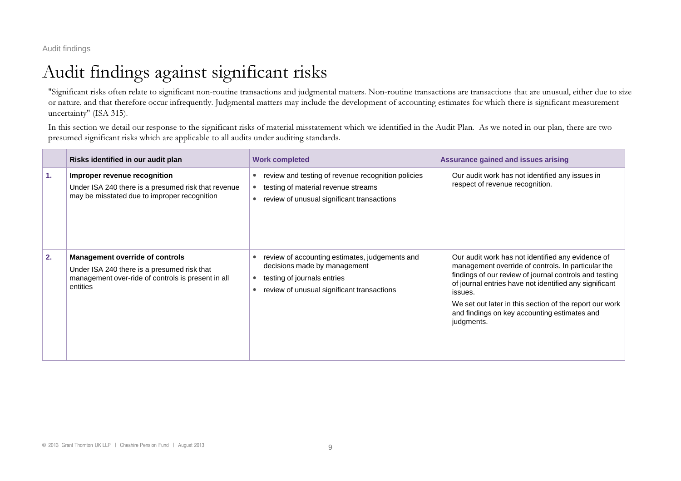## Audit findings against significant risks

"Significant risks often relate to significant non-routine transactions and judgmental matters. Non-routine transactions are transactions that are unusual, either due to size or nature, and that therefore occur infrequently. Judgmental matters may include the development of accounting estimates for which there is significant measurement uncertainty" (ISA 315).

In this section we detail our response to the significant risks of material misstatement which we identified in the Audit Plan. As we noted in our plan, there are two presumed significant risks which are applicable to all audits under auditing standards.

|    | Risks identified in our audit plan                                                                                                                      | <b>Work completed</b>                                                                                                                                             | <b>Assurance gained and issues arising</b>                                                                                                                                                                                                                                                                                                                      |
|----|---------------------------------------------------------------------------------------------------------------------------------------------------------|-------------------------------------------------------------------------------------------------------------------------------------------------------------------|-----------------------------------------------------------------------------------------------------------------------------------------------------------------------------------------------------------------------------------------------------------------------------------------------------------------------------------------------------------------|
| 1. | Improper revenue recognition<br>Under ISA 240 there is a presumed risk that revenue<br>may be misstated due to improper recognition                     | review and testing of revenue recognition policies<br>$\bullet$<br>testing of material revenue streams<br>review of unusual significant transactions<br>$\bullet$ | Our audit work has not identified any issues in<br>respect of revenue recognition.                                                                                                                                                                                                                                                                              |
| 2. | <b>Management override of controls</b><br>Under ISA 240 there is a presumed risk that<br>management over-ride of controls is present in all<br>entities | review of accounting estimates, judgements and<br>decisions made by management<br>testing of journals entries<br>review of unusual significant transactions       | Our audit work has not identified any evidence of<br>management override of controls. In particular the<br>findings of our review of journal controls and testing<br>of journal entries have not identified any significant<br>issues.<br>We set out later in this section of the report our work<br>and findings on key accounting estimates and<br>judgments. |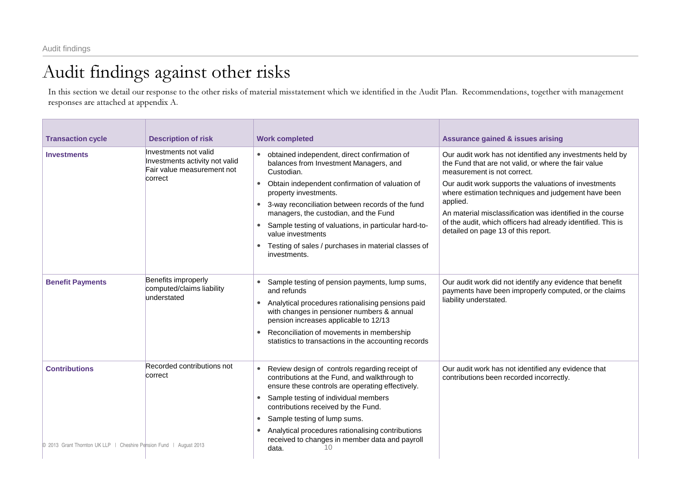## Audit findings against other risks

In this section we detail our response to the other risks of material misstatement which we identified in the Audit Plan. Recommendations, together with management responses are attached at appendix A.

| <b>Transaction cycle</b>                                                                   | <b>Description of risk</b>                                                                       | <b>Work completed</b>                                                                                                                                                                                                                                                                                                                                                                                                             | <b>Assurance gained &amp; issues arising</b>                                                                                                                                                                                                                                                                                                                                                                                                      |
|--------------------------------------------------------------------------------------------|--------------------------------------------------------------------------------------------------|-----------------------------------------------------------------------------------------------------------------------------------------------------------------------------------------------------------------------------------------------------------------------------------------------------------------------------------------------------------------------------------------------------------------------------------|---------------------------------------------------------------------------------------------------------------------------------------------------------------------------------------------------------------------------------------------------------------------------------------------------------------------------------------------------------------------------------------------------------------------------------------------------|
| <b>Investments</b>                                                                         | Investments not valid<br>Investments activity not valid<br>Fair value measurement not<br>correct | obtained independent, direct confirmation of<br>balances from Investment Managers, and<br>Custodian.<br>Obtain independent confirmation of valuation of<br>property investments.<br>3-way reconciliation between records of the fund<br>managers, the custodian, and the Fund<br>Sample testing of valuations, in particular hard-to-<br>value investments<br>Testing of sales / purchases in material classes of<br>investments. | Our audit work has not identified any investments held by<br>the Fund that are not valid, or where the fair value<br>measurement is not correct.<br>Our audit work supports the valuations of investments<br>where estimation techniques and judgement have been<br>applied.<br>An material misclassification was identified in the course<br>of the audit, which officers had already identified. This is<br>detailed on page 13 of this report. |
| <b>Benefit Payments</b>                                                                    | Benefits improperly<br>computed/claims liability<br>understated                                  | Sample testing of pension payments, lump sums,<br>and refunds<br>Analytical procedures rationalising pensions paid<br>with changes in pensioner numbers & annual<br>pension increases applicable to 12/13<br>Reconciliation of movements in membership<br>statistics to transactions in the accounting records                                                                                                                    | Our audit work did not identify any evidence that benefit<br>payments have been improperly computed, or the claims<br>liability understated.                                                                                                                                                                                                                                                                                                      |
| <b>Contributions</b><br>© 2013 Grant Thornton UK LLP   Cheshire Pension Fund   August 2013 | Recorded contributions not<br>correct                                                            | Review design of controls regarding receipt of<br>contributions at the Fund, and walkthrough to<br>ensure these controls are operating effectively.<br>Sample testing of individual members<br>contributions received by the Fund.<br>Sample testing of lump sums.<br>Analytical procedures rationalising contributions<br>received to changes in member data and payroll<br>10<br>data.                                          | Our audit work has not identified any evidence that<br>contributions been recorded incorrectly.                                                                                                                                                                                                                                                                                                                                                   |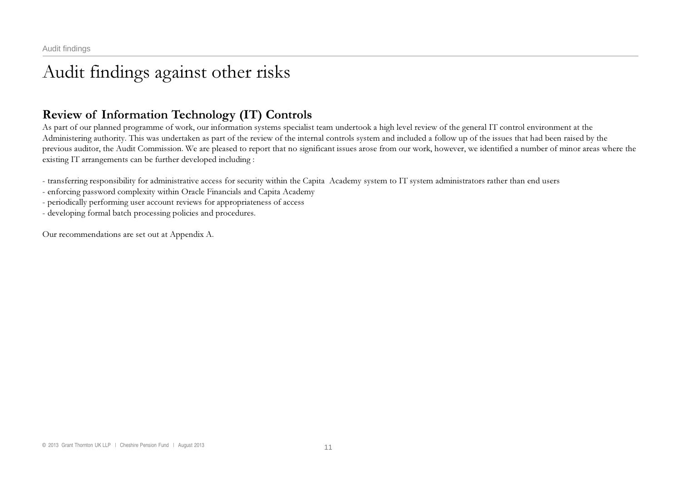## Audit findings against other risks

### Review of Information Technology (IT) Controls

As part of our planned programme of work, our information systems specialist team undertook a high level review of the general IT control environment at the Administering authority. This was undertaken as part of the review of the internal controls system and included a follow up of the issues that had been raised by the previous auditor, the Audit Commission. We are pleased to report that no significant issues arose from our work, however, we identified a number of minor areas where the existing IT arrangements can be further developed including :

- transferring responsibility for administrative access for security within the Capita Academy system to IT system administrators rather than end users

enforcing password complexity within Oracle Financials and Capita Academy

periodically performing user account reviews for appropriateness of access

developing formal batch processing policies and procedures.

Our recommendations are set out at Appendix A.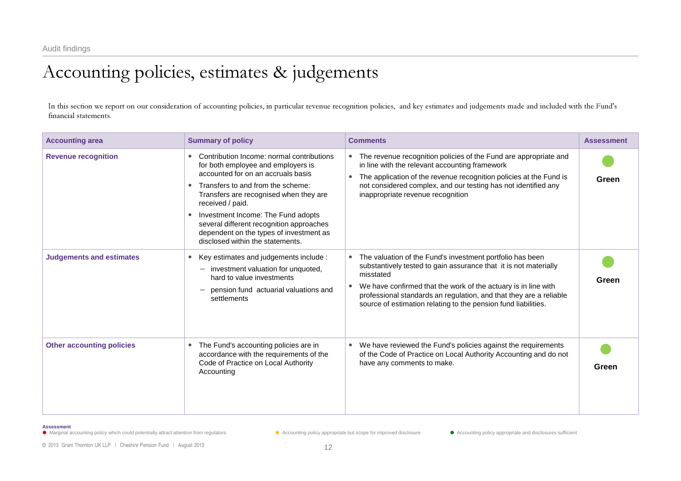## Accounting policies, estimates & judgements

In this section we repor<sup>t</sup> on our consideration of accounting policies, in particular revenue recognition policies, and key estimates and judgements made and included with the Fund's financial statements.

| <b>Accounting area</b>           | <b>Summary of policy</b>                                                                                                                                                                                                                                                                                                                                                                  | <b>Comments</b>                                                                                                                                                                                                                                                                                                                                                   | <b>Assessment</b> |
|----------------------------------|-------------------------------------------------------------------------------------------------------------------------------------------------------------------------------------------------------------------------------------------------------------------------------------------------------------------------------------------------------------------------------------------|-------------------------------------------------------------------------------------------------------------------------------------------------------------------------------------------------------------------------------------------------------------------------------------------------------------------------------------------------------------------|-------------------|
| <b>Revenue recognition</b>       | Contribution Income: normal contributions<br>for both employee and employers is<br>accounted for on an accruals basis<br>Transfers to and from the scheme:<br>Transfers are recognised when they are<br>received / paid.<br>Investment Income: The Fund adopts<br>several different recognition approaches<br>dependent on the types of investment as<br>disclosed within the statements. | The revenue recognition policies of the Fund are appropriate and<br>$\bullet$<br>in line with the relevant accounting framework<br>The application of the revenue recognition policies at the Fund is<br>$\bullet$<br>not considered complex, and our testing has not identified any<br>inappropriate revenue recognition                                         | Green             |
| <b>Judgements and estimates</b>  | Key estimates and judgements include :<br>investment valuation for unquoted,<br>hard to value investments<br>pension fund actuarial valuations and<br>settlements                                                                                                                                                                                                                         | The valuation of the Fund's investment portfolio has been<br>substantively tested to gain assurance that it is not materially<br>misstated<br>We have confirmed that the work of the actuary is in line with<br>$\bullet$<br>professional standards an regulation, and that they are a reliable<br>source of estimation relating to the pension fund liabilities. | Green             |
| <b>Other accounting policies</b> | The Fund's accounting policies are in<br>accordance with the requirements of the<br>Code of Practice on Local Authority<br>Accounting                                                                                                                                                                                                                                                     | We have reviewed the Fund's policies against the requirements<br>$\bullet$<br>of the Code of Practice on Local Authority Accounting and do not<br>have any comments to make.                                                                                                                                                                                      | Green             |

#### **Assessment**

• Marginal accounting policy which could potentially attract attention from regulators **• Accounting policy appropriate but scope for improved disclosure** • Accounting policy appropriate and disclosures sufficient

© 2013 Grant Thornton UK LLP | Cheshire Pension Fund | August 2013 12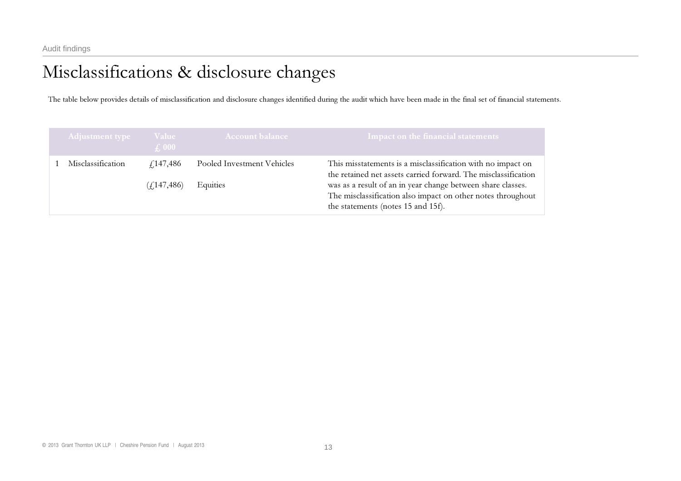## Misclassifications & disclosure changes

The table below provides details of misclassification and disclosure changes identified during the audit which have been made in the final set of financial statements.

| <b>Adjustment type</b> | <b>Value</b><br>$\int$ , 000 | <b>Account balance</b>     | $\mid$ Impact on the financial statements $\mid$                                                                                                                 |
|------------------------|------------------------------|----------------------------|------------------------------------------------------------------------------------------------------------------------------------------------------------------|
| Misclassification      | f <sub>147</sub> ,486        | Pooled Investment Vehicles | This misstatements is a misclassification with no impact on<br>the retained net assets carried forward. The misclassification                                    |
|                        | (f.147, 486)                 | Equities                   | was as a result of an in year change between share classes.<br>The misclassification also impact on other notes throughout<br>the statements (notes 15 and 15f). |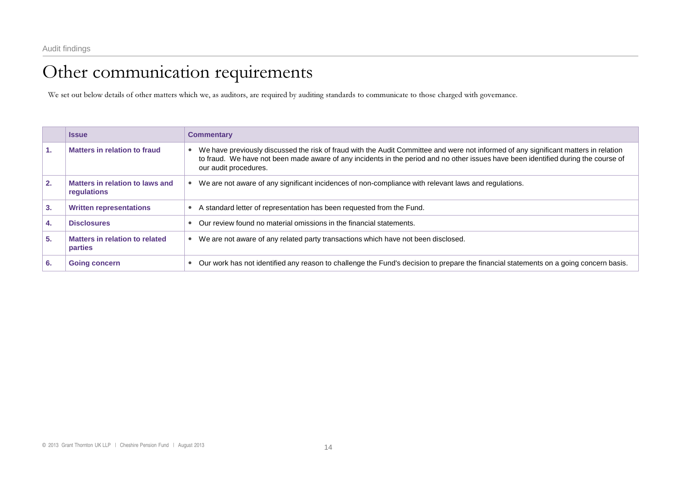### Other communication requirements

We set out below details of other matters which we, as auditors, are required by auditing standards to communicate to those charged with governance.

|    | <b>Issue</b>                                     | <b>Commentary</b>                                                                                                                                                                                                                                                                                   |
|----|--------------------------------------------------|-----------------------------------------------------------------------------------------------------------------------------------------------------------------------------------------------------------------------------------------------------------------------------------------------------|
| 1. | Matters in relation to fraud                     | We have previously discussed the risk of fraud with the Audit Committee and were not informed of any significant matters in relation<br>to fraud. We have not been made aware of any incidents in the period and no other issues have been identified during the course of<br>our audit procedures. |
| 2. | Matters in relation to laws and<br>requlations   | We are not aware of any significant incidences of non-compliance with relevant laws and regulations.                                                                                                                                                                                                |
| 3. | <b>Written representations</b>                   | A standard letter of representation has been requested from the Fund.                                                                                                                                                                                                                               |
| 4. | <b>Disclosures</b>                               | Our review found no material omissions in the financial statements.                                                                                                                                                                                                                                 |
| 5. | Matters in relation to related<br><b>parties</b> | We are not aware of any related party transactions which have not been disclosed.                                                                                                                                                                                                                   |
| 6. | <b>Going concern</b>                             | Our work has not identified any reason to challenge the Fund's decision to prepare the financial statements on a going concern basis.                                                                                                                                                               |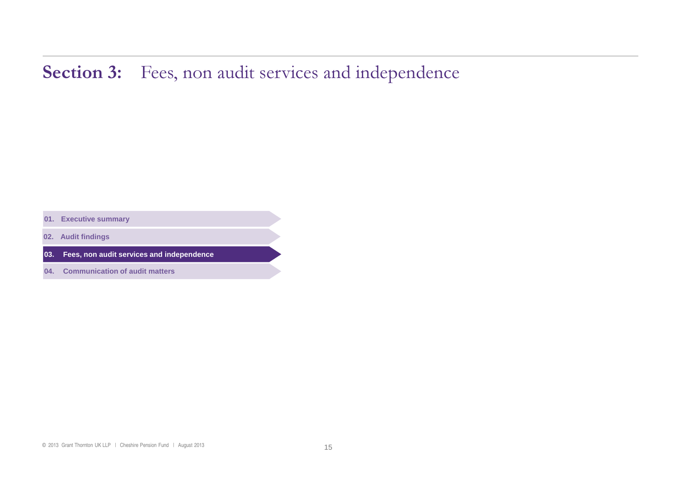## Section 3: Fees, non audit services and independence

**01. Executive summary** 

**02. Audit findings** 

**03. Fees, non audit services and independence** 

**04. Communication of audit matters**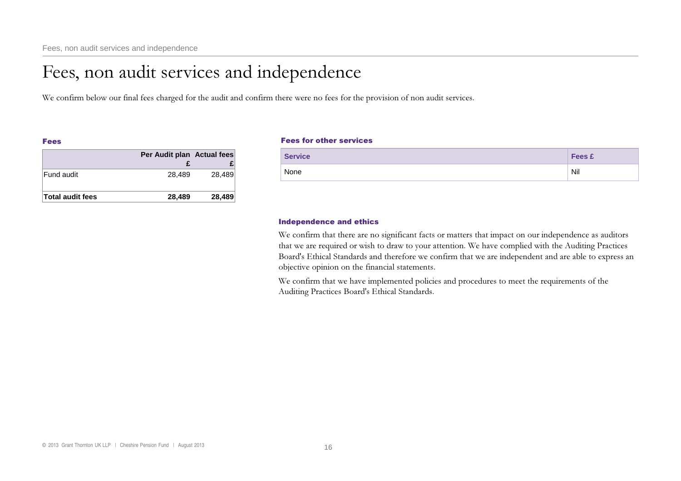## Fees, non audit services and independence

We confirm below our final fees charged for the audit and confirm there were no fees for the provision of non audit services.

### Fees

|                         | Per Audit plan Actual fees |        |
|-------------------------|----------------------------|--------|
|                         |                            |        |
| Fund audit              | 28.489                     | 28,489 |
| <b>Total audit fees</b> | 28,489                     | 28,489 |

### Fees for other services

| <b>Service</b> | <b>Fees £</b> |
|----------------|---------------|
| None           | Nil           |

### Independence and ethics

We confirm that there are no significant facts or matters that impact on our independence as auditors that we are required or wish to draw to your attention. We have complied with the Auditing Practices Board's Ethical Standards and therefore we confirm that we are independent and are able to express an objective opinion on the financial statements.

We confirm that we have implemented policies and procedures to meet the requirements of the Auditing Practices Board's Ethical Standards.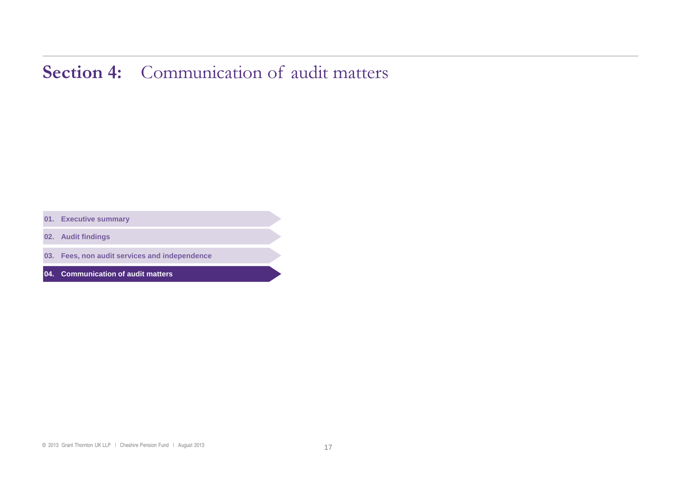## Section 4: Communication of audit matters

**01. Executive summary** 

**02. Audit findings** 

**03. Fees, non audit services and independence** 

**04. Communication of audit matters**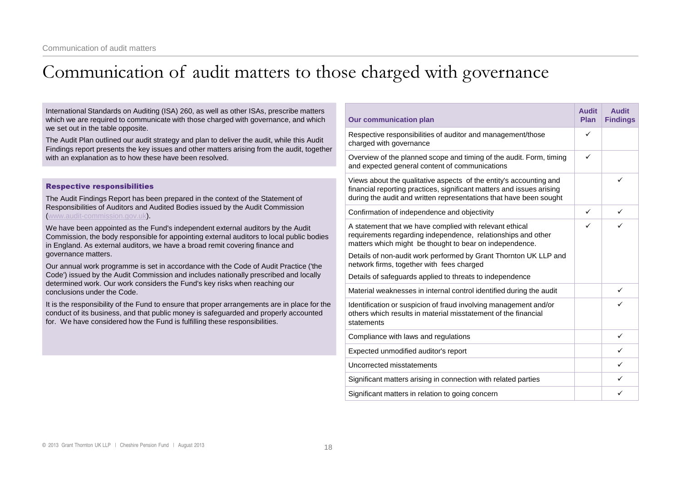## Communication of audit matters to those charged with governance

| International Standards on Auditing (ISA) 260, as well as other ISAs, prescribe matters<br>which we are required to communicate with those charged with governance, and which                                                                                      | <b>Our communication plan</b>                                                                                                                                                                                     | <b>Audit</b><br><b>Plan</b> | <b>Audit</b><br><b>Findings</b> |
|--------------------------------------------------------------------------------------------------------------------------------------------------------------------------------------------------------------------------------------------------------------------|-------------------------------------------------------------------------------------------------------------------------------------------------------------------------------------------------------------------|-----------------------------|---------------------------------|
| we set out in the table opposite.<br>The Audit Plan outlined our audit strategy and plan to deliver the audit, while this Audit<br>Findings report presents the key issues and other matters arising from the audit, together                                      | Respective responsibilities of auditor and management/those<br>charged with governance                                                                                                                            | ✓                           |                                 |
| with an explanation as to how these have been resolved.                                                                                                                                                                                                            | Overview of the planned scope and timing of the audit. Form, timing<br>and expected general content of communications                                                                                             | ✓                           |                                 |
| <b>Respective responsibilities</b><br>The Audit Findings Report has been prepared in the context of the Statement of                                                                                                                                               | Views about the qualitative aspects of the entity's accounting and<br>financial reporting practices, significant matters and issues arising<br>during the audit and written representations that have been sought |                             |                                 |
| Responsibilities of Auditors and Audited Bodies issued by the Audit Commission<br>www.audit-commission.gov.uk).                                                                                                                                                    | Confirmation of independence and objectivity                                                                                                                                                                      | $\checkmark$                | $\checkmark$                    |
| We have been appointed as the Fund's independent external auditors by the Audit<br>Commission, the body responsible for appointing external auditors to local public bodies<br>in England. As external auditors, we have a broad remit covering finance and        | A statement that we have complied with relevant ethical<br>requirements regarding independence, relationships and other<br>matters which might be thought to bear on independence.                                | ✓                           | ✓                               |
| governance matters.<br>Our annual work programme is set in accordance with the Code of Audit Practice ('the                                                                                                                                                        | Details of non-audit work performed by Grant Thornton UK LLP and<br>network firms, together with fees charged                                                                                                     |                             |                                 |
| Code') issued by the Audit Commission and includes nationally prescribed and locally                                                                                                                                                                               | Details of safeguards applied to threats to independence                                                                                                                                                          |                             |                                 |
| determined work. Our work considers the Fund's key risks when reaching our<br>conclusions under the Code.                                                                                                                                                          | Material weaknesses in internal control identified during the audit                                                                                                                                               |                             | ✓                               |
| It is the responsibility of the Fund to ensure that proper arrangements are in place for the<br>conduct of its business, and that public money is safeguarded and properly accounted<br>for. We have considered how the Fund is fulfilling these responsibilities. | Identification or suspicion of fraud involving management and/or<br>others which results in material misstatement of the financial<br>statements                                                                  |                             | ✓                               |
|                                                                                                                                                                                                                                                                    | Compliance with laws and regulations                                                                                                                                                                              |                             | $\checkmark$                    |
|                                                                                                                                                                                                                                                                    | Expected unmodified auditor's report                                                                                                                                                                              |                             | $\checkmark$                    |
|                                                                                                                                                                                                                                                                    | Uncorrected misstatements                                                                                                                                                                                         |                             | $\checkmark$                    |
|                                                                                                                                                                                                                                                                    | Significant matters arising in connection with related parties                                                                                                                                                    |                             | ✓                               |
|                                                                                                                                                                                                                                                                    | Significant matters in relation to going concern                                                                                                                                                                  |                             | ✓                               |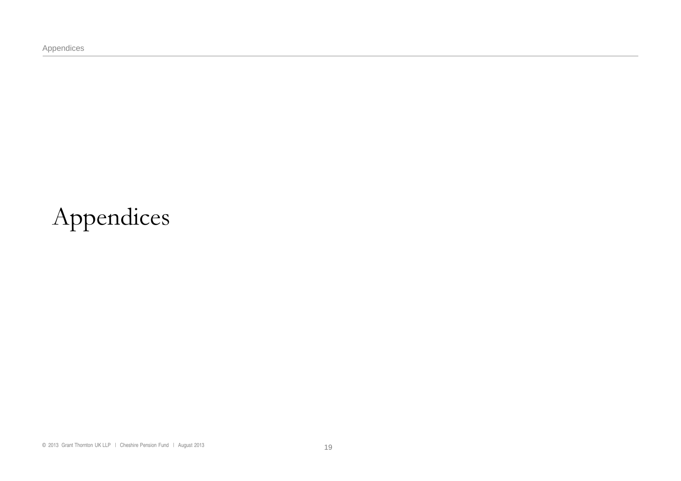Appendices

# Appendices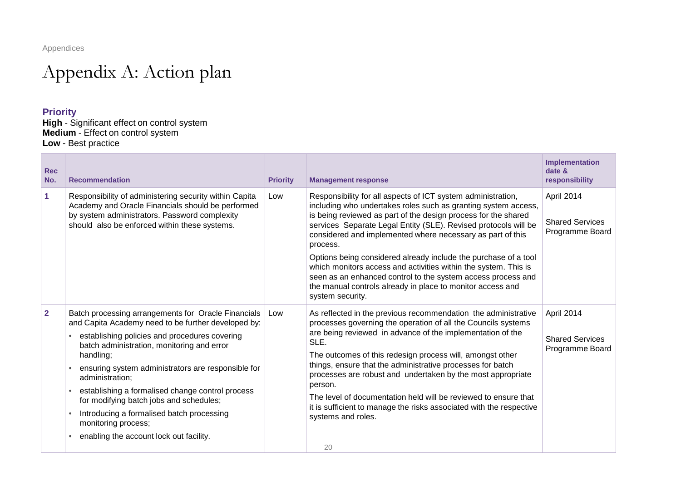## Appendix A: Action plan

### **Priority**

**High** - Significant effect on control system **Medium** - Effect on control system **Low** - Best practice

| <b>Rec</b><br>No. | <b>Recommendation</b>                                                                                                                                                                                                                                                                                                                                                                                                                                                                                         | <b>Priority</b> | <b>Management response</b>                                                                                                                                                                                                                                                                                                                                                                                                                                                                                                                                                                                                            | Implementation<br>date &<br>responsibility              |
|-------------------|---------------------------------------------------------------------------------------------------------------------------------------------------------------------------------------------------------------------------------------------------------------------------------------------------------------------------------------------------------------------------------------------------------------------------------------------------------------------------------------------------------------|-----------------|---------------------------------------------------------------------------------------------------------------------------------------------------------------------------------------------------------------------------------------------------------------------------------------------------------------------------------------------------------------------------------------------------------------------------------------------------------------------------------------------------------------------------------------------------------------------------------------------------------------------------------------|---------------------------------------------------------|
| 1                 | Responsibility of administering security within Capita<br>Academy and Oracle Financials should be performed<br>by system administrators. Password complexity<br>should also be enforced within these systems.                                                                                                                                                                                                                                                                                                 | Low             | Responsibility for all aspects of ICT system administration,<br>including who undertakes roles such as granting system access,<br>is being reviewed as part of the design process for the shared<br>services Separate Legal Entity (SLE). Revised protocols will be<br>considered and implemented where necessary as part of this<br>process.<br>Options being considered already include the purchase of a tool<br>which monitors access and activities within the system. This is<br>seen as an enhanced control to the system access process and<br>the manual controls already in place to monitor access and<br>system security. | April 2014<br><b>Shared Services</b><br>Programme Board |
| $\mathbf{2}$      | Batch processing arrangements for Oracle Financials<br>and Capita Academy need to be further developed by:<br>establishing policies and procedures covering<br>batch administration, monitoring and error<br>handling;<br>ensuring system administrators are responsible for<br>administration;<br>establishing a formalised change control process<br>for modifying batch jobs and schedules;<br>Introducing a formalised batch processing<br>monitoring process;<br>enabling the account lock out facility. | Low             | As reflected in the previous recommendation the administrative<br>processes governing the operation of all the Councils systems<br>are being reviewed in advance of the implementation of the<br>SLE.<br>The outcomes of this redesign process will, amongst other<br>things, ensure that the administrative processes for batch<br>processes are robust and undertaken by the most appropriate<br>person.<br>The level of documentation held will be reviewed to ensure that<br>it is sufficient to manage the risks associated with the respective<br>systems and roles.<br>20                                                      | April 2014<br><b>Shared Services</b><br>Programme Board |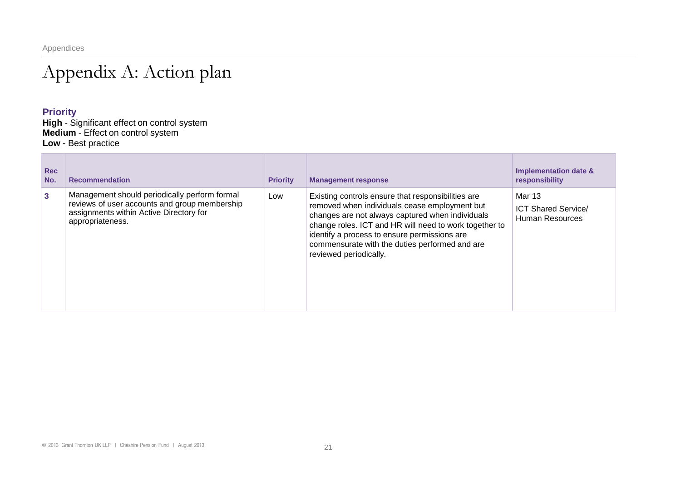## Appendix A: Action plan

### **Priority**

**High** - Significant effect on control system **Medium** - Effect on control system **Low** - Best practice

| <b>Rec</b><br>No. | <b>Recommendation</b>                                                                                                                                         | <b>Priority</b> | <b>Management response</b>                                                                                                                                                                                                                                                                                                                    | <b>Implementation date &amp;</b><br>responsibility      |
|-------------------|---------------------------------------------------------------------------------------------------------------------------------------------------------------|-----------------|-----------------------------------------------------------------------------------------------------------------------------------------------------------------------------------------------------------------------------------------------------------------------------------------------------------------------------------------------|---------------------------------------------------------|
| $\mathbf{3}$      | Management should periodically perform formal<br>reviews of user accounts and group membership<br>assignments within Active Directory for<br>appropriateness. | Low             | Existing controls ensure that responsibilities are<br>removed when individuals cease employment but<br>changes are not always captured when individuals<br>change roles. ICT and HR will need to work together to<br>identify a process to ensure permissions are<br>commensurate with the duties performed and are<br>reviewed periodically. | Mar 13<br><b>ICT Shared Service/</b><br>Human Resources |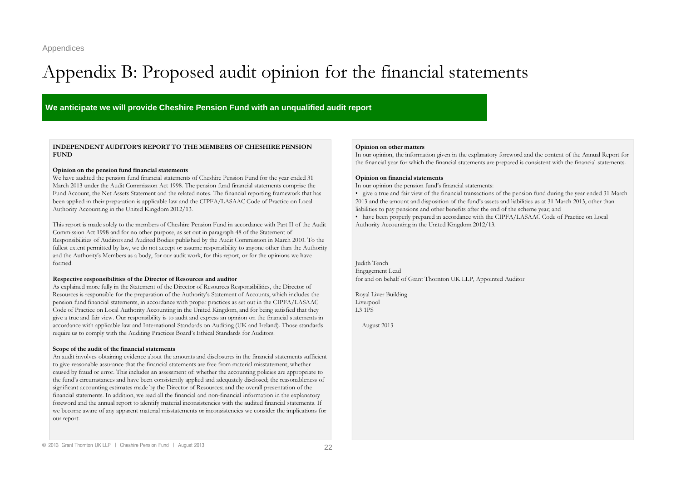## <span id="page-21-0"></span>Appendix B: Proposed audit opinion for the financial statements

**We anticipate we will provide Cheshire Pension Fund with an unqualified audit report** 

### INDEPENDENT AUDITOR'S REPORT TO THE MEMBERS OF CHESHIRE PENSIONFUND

#### Opinion on the pension fund financial statements

We have audited the pension fund financial statements of Cheshire Pension Fund for the year ended 31 March <sup>2013</sup> under the Audit Commission Act 1998. The pension fund financial statements comprise the Fund Account, the Net Assets Statement and the related notes. The financial reporting framework that has been applied in their preparation is applicable law and the CIPFA/LASAAC Code of Practice on Local Authority Accounting in the United Kingdom 2012/13.

This repor<sup>t</sup> is made solely to the members of Cheshire Pension Fund in accordance with Part II of the Audit Commission Act 1998 and for no other purpose, as set out in paragraph 48 of the Statement of Responsibilities of Auditors and Audited Bodies published by the Audit Commission in March 2010. To the fullest extent permitted by law, we do not accep<sup>t</sup> or assume responsibility to anyone other than the Authority and the Authority's Members as <sup>a</sup> body, for our audit work, for this report, or for the opinions we have formed.

#### Respective responsibilities of the Director of Resources and auditor

As explained more fully in the Statement of the Director of Resources Responsibilities, the Director of Resources is responsible for the preparation of the Authority's Statement of Accounts, which includes the pension fund financial statements, in accordance with proper practices as set out in the CIPFA/LASAAC Code of Practice on Local Authority Accounting in the United Kingdom, and for being satisfied that they give a true and fair view. Our responsibility is to audit and express an opinion on the financial statements in accordance with applicable law and International Standards on Auditing (UK and Ireland). Those standards require us to comply with the Auditing Practices Board's Ethical Standards for Auditors.

#### Scope of the audit of the financial statements

An audit involves obtaining evidence about the amounts and disclosures in the financial statements sufficient to give reasonable assurance that the financial statements are free from material misstatement, whether caused by fraud or error. This includes an assessment of: whether the accounting policies are appropriate to the fund's circumstances and have been consistently applied and adequately disclosed; the reasonableness of significant accounting estimates made by the Director of Resources; and the overall presentation of the financial statements. In addition, we read all the financial and nonfinancial information in the explanatory foreword and the annual repor<sup>t</sup> to identify material inconsistencies with the audited financial statements. If we become aware of any apparen<sup>t</sup> material misstatements or inconsistencies we consider the implications for our report.

#### Opinion on other matters

In our opinion, the information given in the explanatory foreword and the content of the Annual Report for the financial year for which the financial statements are prepared is consistent with the financial statements.

#### Opinion on financial statements

In our opinion the pension fund's financial statements:

• give a true and fair view of the financial transactions of the pension fund during the year ended 31 March 2013 and the amount and disposition of the fund's assets and liabilities as at 31 March 2013, other than liabilities to pay pensions and other benefits after the end of the scheme year; and

• have been properly prepared in accordance with the CIPFA/LASAAC Code of Practice on Local Authority Accounting in the United Kingdom 2012/13.

Judith Tench Engagement Lead for and on behalf of Grant Thornton UK LLP, Appointed Auditor

Royal Liver Building Liverpool L3 1PS

August 2013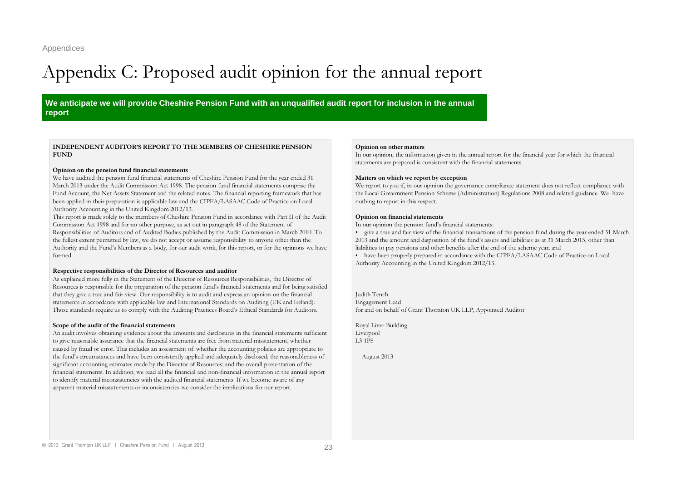## <span id="page-22-0"></span>Appendix C: Proposed audit opinion for the annual report

**We anticipate we will provide Cheshire Pension Fund with an unqualified audit report for inclusion in the annual report** 

### INDEPENDENT AUDITOR'S REPORT TO THE MEMBERS OF CHESHIRE PENSIONFUND

#### Opinion on the pension fund financial statements

We have audited the pension fund financial statements of Cheshire Pension Fund for the year ended 31 March <sup>2013</sup> under the Audit Commission Act 1998. The pension fund financial statements comprise the Fund Account, the Net Assets Statement and the related notes. The financial reporting framework that has been applied in their preparation is applicable law and the CIPFA/LASAAC Code of Practice on Local Authority Accounting in the United Kingdom 2012/13.

This repor<sup>t</sup> is made solely to the members of Cheshire Pension Fund in accordance with Part II of the Audit Commission Act 1998 and for no other purpose, as set out in paragraph 48 of the Statement of Responsibilities of Auditors and of Audited Bodies published by the Audit Commission in March 2010. To the fullest extent permitted by law, we do not accep<sup>t</sup> or assume responsibility to anyone other than the Authority and the Fund's Members as <sup>a</sup> body, for our audit work, for this report, or for the opinions we have formed.

#### Respective responsibilities of the Director of Resources and auditor

As explained more fully in the Statement of the Director of Resources Responsibilities, the Director of Resources is responsible for the preparation of the pension fund's financial statements and for being satisfied that they give a true and fair view. Our responsibility is to audit and express an opinion on the financial statements in accordance with applicable law and International Standards on Auditing (UK and Ireland). Those standards require us to comply with the Auditing Practices Board's Ethical Standards for Auditors.

#### Scope of the audit of the financial statements

An audit involves obtaining evidence about the amounts and disclosures in the financial statements sufficient to give reasonable assurance that the financial statements are free from material misstatement, whether caused by fraud or error. This includes an assessment of: whether the accounting policies are appropriate to the fund's circumstances and have been consistently applied and adequately disclosed; the reasonableness of significant accounting estimates made by the Director of Resources; and the overall presentation of the financial statements. In addition, we read all the financial and nonfinancial information in the annual repor<sup>t</sup> to identify material inconsistencies with the audited financial statements. If we become aware of any apparen<sup>t</sup> material misstatements or inconsistencies we consider the implications for our report.

#### Opinion on other matters

In our opinion, the information given in the annual repor<sup>t</sup> for the financial year for which the financial statements are prepared is consistent with the financial statements.

#### Matters on which we report by exception

We report to you if, in our opinion the governance compliance statement does not reflect compliance with the Local Government Pension Scheme (Administration) Regulations 2008 and related guidance. We have nothing to repor<sup>t</sup> in this respect.

#### Opinion on financial statements

In our opinion the pension fund's financial statements:

• give a true and fair view of the financial transactions of the pension fund during the year ended 31 March 2013 and the amount and disposition of the fund's assets and liabilities as at 31 March 2013, other than liabilities to pay pensions and other benefits after the end of the scheme year; and

• have been properly prepared in accordance with the CIPFA/LASAAC Code of Practice on Local Authority Accounting in the United Kingdom 2012/13.

Judith Tench Engagement Lead for and on behalf of Grant Thornton UK LLP, Appointed Auditor

Royal Liver Building Liverpool L3 1PS

August 2013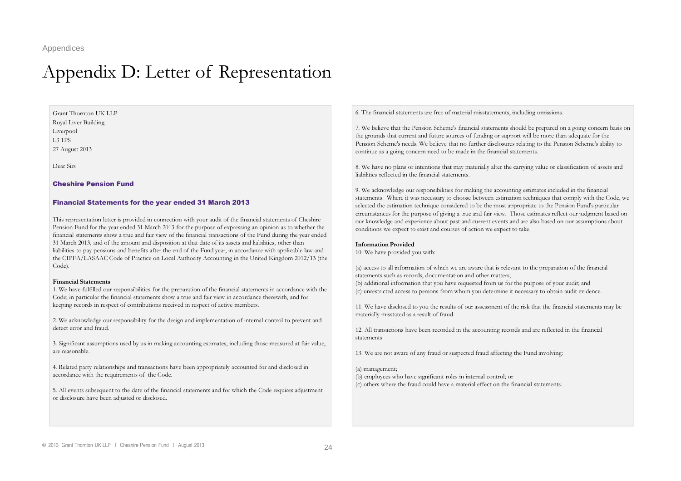### <span id="page-23-0"></span>Appendix D: Letter of Representation

Grant Thornton UK LLP Royal Liver Building Liverpool L3 1PS27 August 2013

Dear Sirs

#### Cheshire Pension Fund

#### Financial Statements for the year ended 31 March 2013

This representation letter is provided in connection with your audit of the financial statements of Cheshire Pension Fund for the year ended 31 March 2013 for the purpose of expressing an opinion as to whether the financial statements show <sup>a</sup> true and fair view of the financial transactions of the Fund during the year ended 31 March 2013, and of the amount and disposition at that date of its assets and liabilities, other than liabilities to pay pensions and benefits after the end of the Fund year, in accordance with applicable law and the CIPFA/LASAAC Code of Practice on Local Authority Accounting in the United Kingdom 2012/13 (the Code).

#### Financial Statements

1. We have fulfilled our responsibilities for the preparation of the financial statements in accordance with the Code; in particular the financial statements show <sup>a</sup> true and fair view in accordance therewith, and for keeping records in respec<sup>t</sup> of contributions received in respec<sup>t</sup> of active members.

2. We acknowledge our responsibility for the design and implementation of internal control to preven<sup>t</sup> and detect error and fraud.

3. Significant assumptions used by us in making accounting estimates, including those measured at fair value, are reasonable.

4. Related party relationships and transactions have been appropriately accounted for and disclosed in accordance with the requirements of the Code.

5. All events subsequent to the date of the financial statements and for which the Code requires adjustment or disclosure have been adjusted or disclosed.

6. The financial statements are free of material misstatements, including omissions.

7. We believe that the Pension Scheme's financial statements should be prepared on <sup>a</sup> going concern basis on the grounds that current and future sources of funding or suppor<sup>t</sup> will be more than adequate for the Pension Scheme's needs. We believe that no further disclosures relating to the Pension Scheme's ability to continue as a going concern need to be made in the financial statements.

8. We have no plans or intentions that may materially alter the carrying value or classification of assets and liabilities reflected in the financial statements.

9. We acknowledge our responsibilities for making the accounting estimates included in the financial statements. Where it was necessary to choose between estimation techniques that comply with the Code, we selected the estimation technique considered to be the most appropriate to the Pension Fund's particular circumstances for the purpose of giving a true and fair view. Those estimates reflect our judgment based on our knowledge and experience about pas<sup>t</sup> and current events and are also based on our assumptions about conditions we expec<sup>t</sup> to exist and courses of action we expec<sup>t</sup> to take.

#### Information Provided

10. We have provided you with:

(a) access to all information of which we are aware that is relevant to the preparation of the financial statements such as records, documentation and other matters; (b) additional information that you have requested from us for the purpose of your audit; and (c) unrestricted access to persons from whom you determine it necessary to obtain audit evidence.

11. We have disclosed to you the results of our assessment of the risk that the financial statements may be materially misstated as <sup>a</sup> result of fraud.

12. All transactions have been recorded in the accounting records and are reflected in the financial statements

13. We are not aware of any fraud or suspected fraud affecting the Fund involving:

#### (a) management;

(b) employees who have significant roles in internal control; or (c) others where the fraud could have a material effect on the financial statements.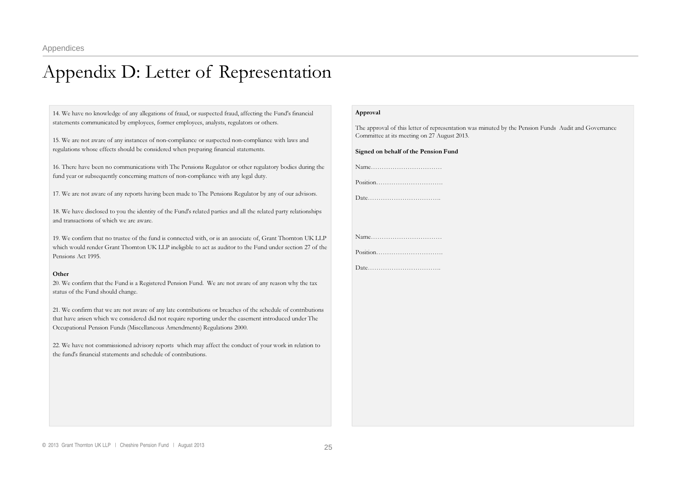### Appendix D: Letter of Representation

14. We have no knowledge of any allegations of fraud, or suspected fraud, affecting the Fund's financial statements communicated by employees, former employees, analysts, regulators or others.

15. We are not aware of any instances of noncompliance or suspected noncompliance with laws and regulations whose effects should be considered when preparing financial statements.

16. There have been no communications with The Pensions Regulator or other regulatory bodies during the fund year or subsequently concerning matters of noncompliance with any legal duty.

17. We are not aware of any reports having been made to The Pensions Regulator by any of our advisors.

18. We have disclosed to you the identity of the Fund's related parties and all the related party relationships and transactions of which we are aware.

19. We confirm that no trustee of the fund is connected with, or is an associate of, Grant Thornton UK LLP which would render Grant Thornton UK LLP ineligible to act as auditor to the Fund under section 27 of the Pensions Act 1995.

#### **Other**

20. We confirm that the Fund is <sup>a</sup> Registered Pension Fund. We are not aware of any reason why the tax status of the Fund should change.

21. We confirm that we are not aware of any late contributions or breaches of the schedule of contributions that have arisen which we considered did not require reporting under the easement introduced under The Occupational Pension Funds (Miscellaneous Amendments) Regulations 2000.

22. We have not commissioned advisory reports which may affect the conduct of your work in relation to the fund's financial statements and schedule of contributions.

#### Approval

The approval of this letter of representation was minuted by the Pension Funds Audit and Governance Committee at its meeting on 27 August 2013.

#### Signed on behalf of the Pension Fund

Name……………………………Position………………………….

Date…………………………….

Name……………………………Position………………………….

Date…………………………….

© 2013 Grant Thornton UK LLP | Cheshire Pension Fund | August 2013 25